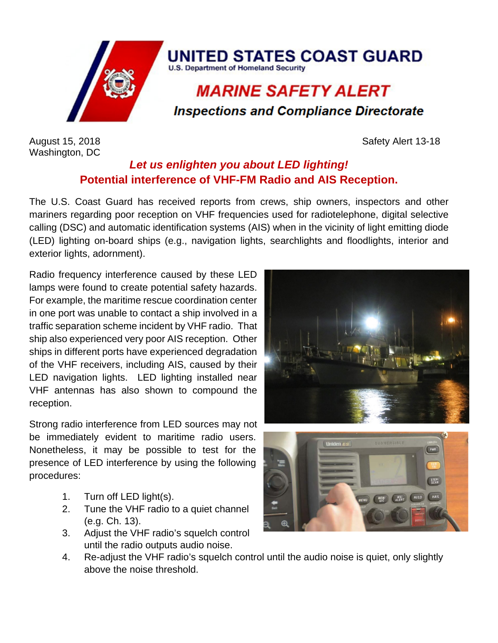

Washington, DC

August 15, 2018 **Safety Alert 13-18** 

## *Let us enlighten you about LED lighting!* **Potential interference of VHF-FM Radio and AIS Reception.**

The U.S. Coast Guard has received reports from crews, ship owners, inspectors and other mariners regarding poor reception on VHF frequencies used for radiotelephone, digital selective calling (DSC) and automatic identification systems (AIS) when in the vicinity of light emitting diode (LED) lighting on-board ships (e.g., navigation lights, searchlights and floodlights, interior and exterior lights, adornment).

Radio frequency interference caused by these LED lamps were found to create potential safety hazards. For example, the maritime rescue coordination center in one port was unable to contact a ship involved in a traffic separation scheme incident by VHF radio. That ship also experienced very poor AIS reception. Other ships in different ports have experienced degradation of the VHF receivers, including AIS, caused by their LED navigation lights. LED lighting installed near VHF antennas has also shown to compound the reception.

Strong radio interference from LED sources may not be immediately evident to maritime radio users. Nonetheless, it may be possible to test for the presence of LED interference by using the following procedures:

- 1. Turn off LED light(s).
- 2. Tune the VHF radio to a quiet channel (e.g. Ch. 13).
- 3. Adjust the VHF radio's squelch control until the radio outputs audio noise.





4. Re-adjust the VHF radio's squelch control until the audio noise is quiet, only slightly above the noise threshold.